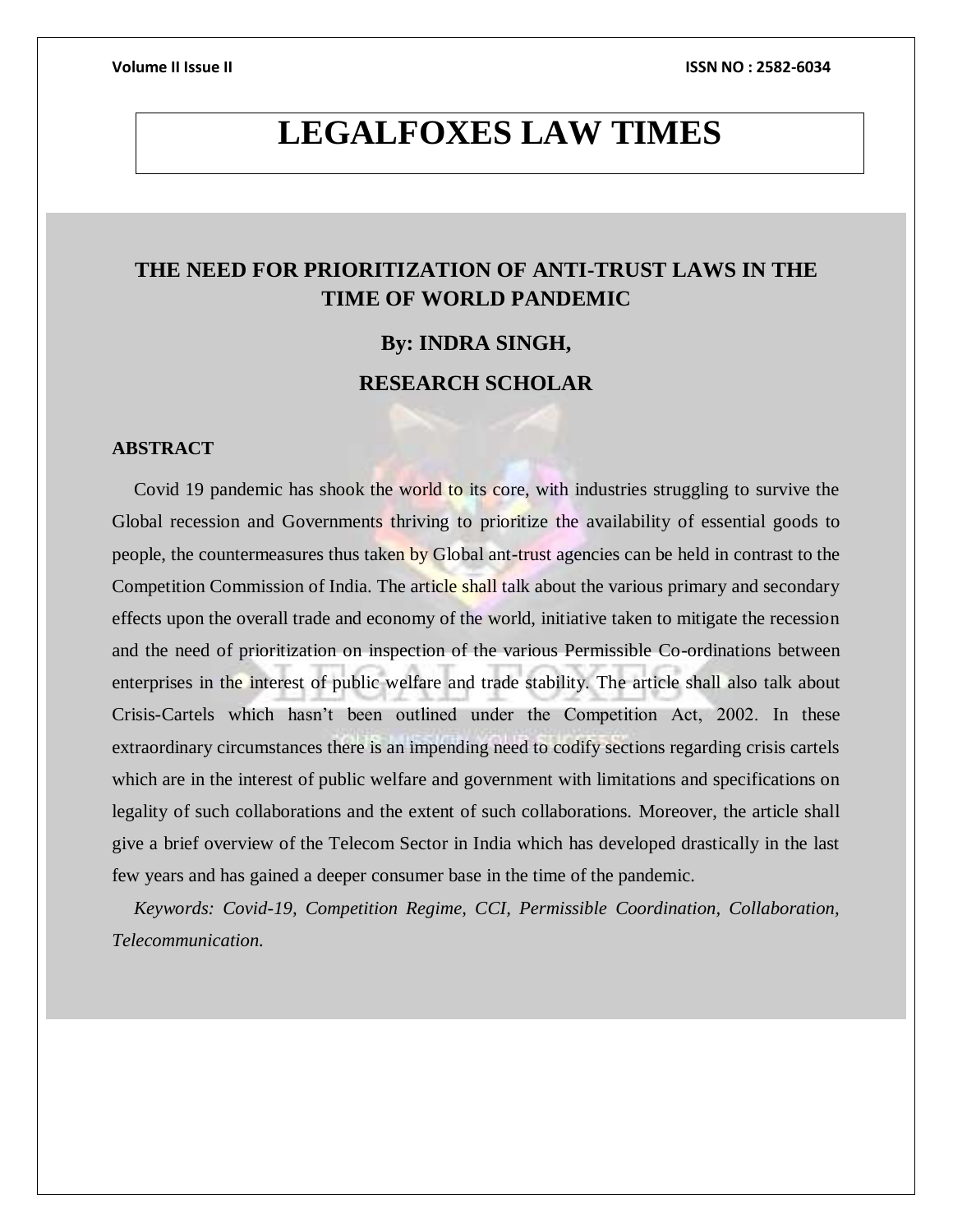**Volume II Issue II ISSN NO : 2582-6034**

# **LEGALFOXES LAW TIMES**

# **THE NEED FOR PRIORITIZATION OF ANTI-TRUST LAWS IN THE TIME OF WORLD PANDEMIC**

# **By: INDRA SINGH,**

# **RESEARCH SCHOLAR**

# **ABSTRACT**

Covid 19 pandemic has shook the world to its core, with industries struggling to survive the Global recession and Governments thriving to prioritize the availability of essential goods to people, the countermeasures thus taken by Global ant-trust agencies can be held in contrast to the Competition Commission of India. The article shall talk about the various primary and secondary effects upon the overall trade and economy of the world, initiative taken to mitigate the recession and the need of prioritization on inspection of the various Permissible Co-ordinations between enterprises in the interest of public welfare and trade stability. The article shall also talk about Crisis-Cartels which hasn"t been outlined under the Competition Act, 2002. In these extraordinary circumstances there is an impending need to codify sections regarding crisis cartels which are in the interest of public welfare and government with limitations and specifications on legality of such collaborations and the extent of such collaborations. Moreover, the article shall give a brief overview of the Telecom Sector in India which has developed drastically in the last few years and has gained a deeper consumer base in the time of the pandemic.

*Keywords: Covid-19, Competition Regime, CCI, Permissible Coordination, Collaboration, Telecommunication.*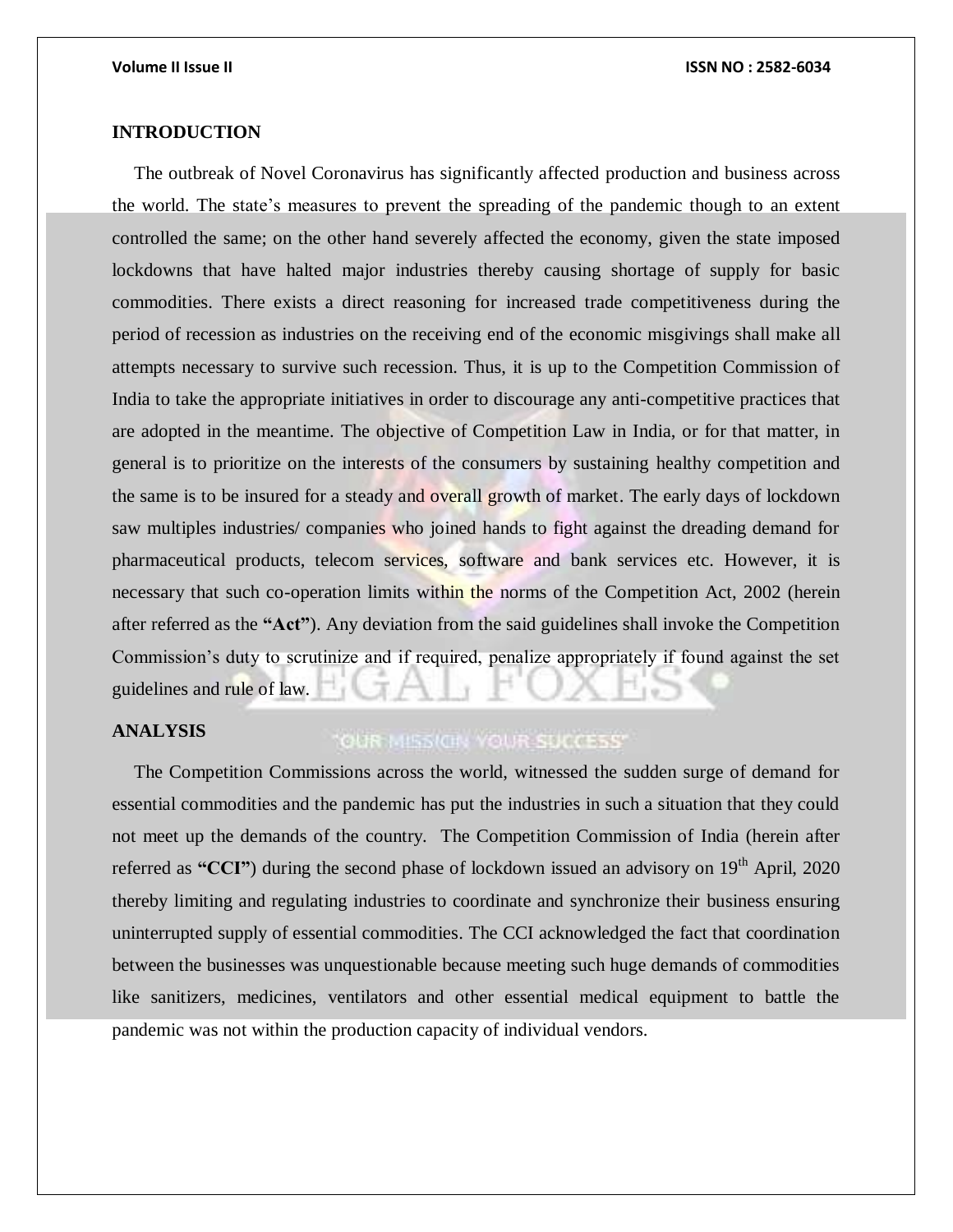# **INTRODUCTION**

The outbreak of Novel Coronavirus has significantly affected production and business across the world. The state's measures to prevent the spreading of the pandemic though to an extent controlled the same; on the other hand severely affected the economy, given the state imposed lockdowns that have halted major industries thereby causing shortage of supply for basic commodities. There exists a direct reasoning for increased trade competitiveness during the period of recession as industries on the receiving end of the economic misgivings shall make all attempts necessary to survive such recession. Thus, it is up to the Competition Commission of India to take the appropriate initiatives in order to discourage any anti-competitive practices that are adopted in the meantime. The objective of Competition Law in India, or for that matter, in general is to prioritize on the interests of the consumers by sustaining healthy competition and the same is to be insured for a steady and overall growth of market. The early days of lockdown saw multiples industries/ companies who joined hands to fight against the dreading demand for pharmaceutical products, telecom services, software and bank services etc. However, it is necessary that such co-operation limits within the norms of the Competition Act, 2002 (herein after referred as the **"Act"**). Any deviation from the said guidelines shall invoke the Competition Commission"s duty to scrutinize and if required, penalize appropriately if found against the set guidelines and rule of law.

## **ANALYSIS**

# "OUR MISSION YOUR SUCCESS"

The Competition Commissions across the world, witnessed the sudden surge of demand for essential commodities and the pandemic has put the industries in such a situation that they could not meet up the demands of the country. The Competition Commission of India (herein after referred as "CCI") during the second phase of lockdown issued an advisory on 19<sup>th</sup> April, 2020 thereby limiting and regulating industries to coordinate and synchronize their business ensuring uninterrupted supply of essential commodities. The CCI acknowledged the fact that coordination between the businesses was unquestionable because meeting such huge demands of commodities like sanitizers, medicines, ventilators and other essential medical equipment to battle the pandemic was not within the production capacity of individual vendors.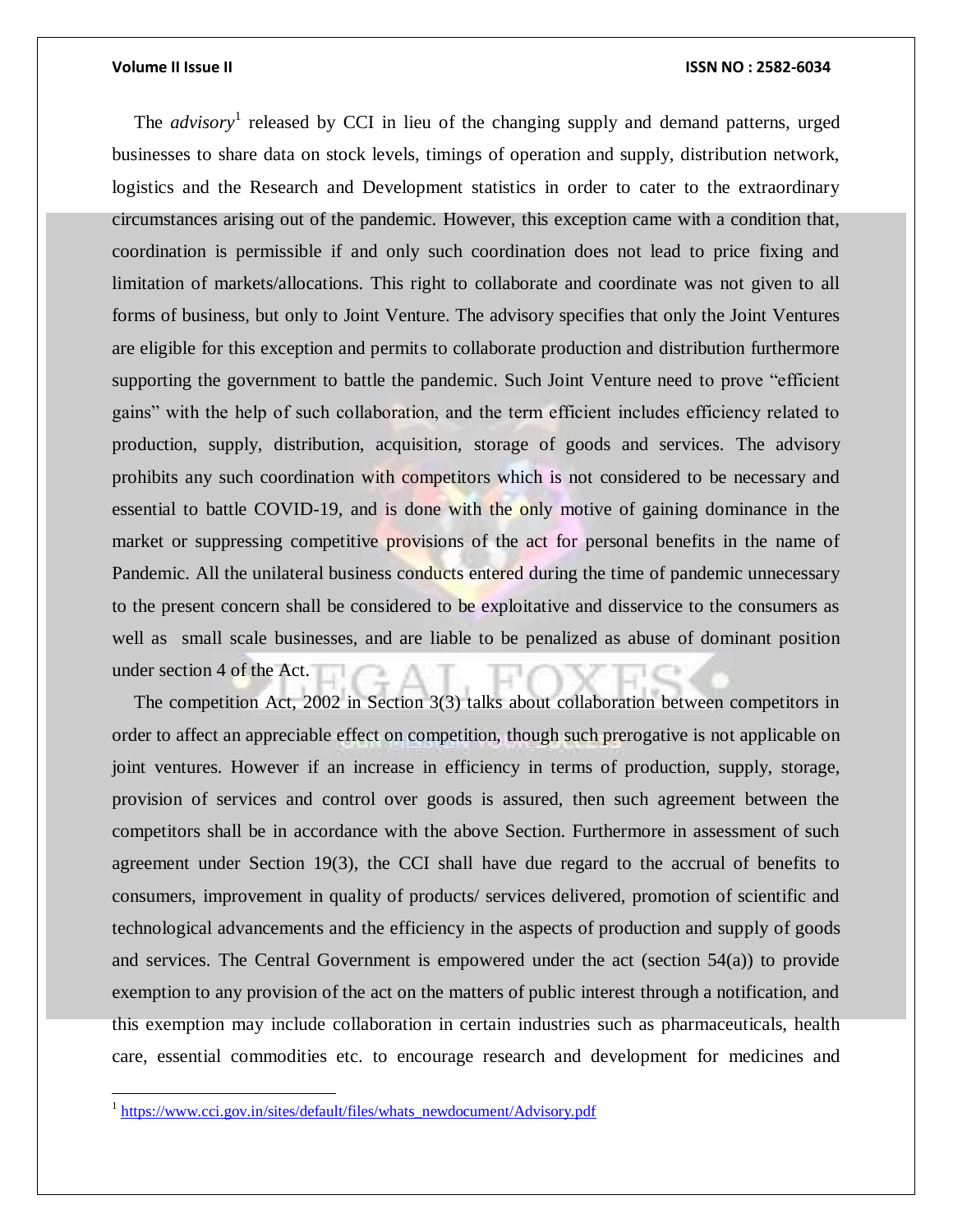### **Volume II Issue II ISSN NO : 2582-6034**

The *advisory*<sup>1</sup> released by CCI in lieu of the changing supply and demand patterns, urged businesses to share data on stock levels, timings of operation and supply, distribution network, logistics and the Research and Development statistics in order to cater to the extraordinary circumstances arising out of the pandemic. However, this exception came with a condition that, coordination is permissible if and only such coordination does not lead to price fixing and limitation of markets/allocations. This right to collaborate and coordinate was not given to all forms of business, but only to Joint Venture. The advisory specifies that only the Joint Ventures are eligible for this exception and permits to collaborate production and distribution furthermore supporting the government to battle the pandemic. Such Joint Venture need to prove "efficient gains" with the help of such collaboration, and the term efficient includes efficiency related to production, supply, distribution, acquisition, storage of goods and services. The advisory prohibits any such coordination with competitors which is not considered to be necessary and essential to battle COVID-19, and is done with the only motive of gaining dominance in the market or suppressing competitive provisions of the act for personal benefits in the name of Pandemic. All the unilateral business conducts entered during the time of pandemic unnecessary to the present concern shall be considered to be exploitative and disservice to the consumers as well as small scale businesses, and are liable to be penalized as abuse of dominant position under section 4 of the Act.

The competition Act, 2002 in Section 3(3) talks about collaboration between competitors in order to affect an appreciable effect on competition, though such prerogative is not applicable on joint ventures. However if an increase in efficiency in terms of production, supply, storage, provision of services and control over goods is assured, then such agreement between the competitors shall be in accordance with the above Section. Furthermore in assessment of such agreement under Section 19(3), the CCI shall have due regard to the accrual of benefits to consumers, improvement in quality of products/ services delivered, promotion of scientific and technological advancements and the efficiency in the aspects of production and supply of goods and services. The Central Government is empowered under the act (section 54(a)) to provide exemption to any provision of the act on the matters of public interest through a notification, and this exemption may include collaboration in certain industries such as pharmaceuticals, health care, essential commodities etc. to encourage research and development for medicines and

l

<sup>&</sup>lt;sup>1</sup> [https://www.cci.gov.in/sites/default/files/whats\\_newdocument/Advisory.pdf](https://www.cci.gov.in/sites/default/files/whats_newdocument/Advisory.pdf)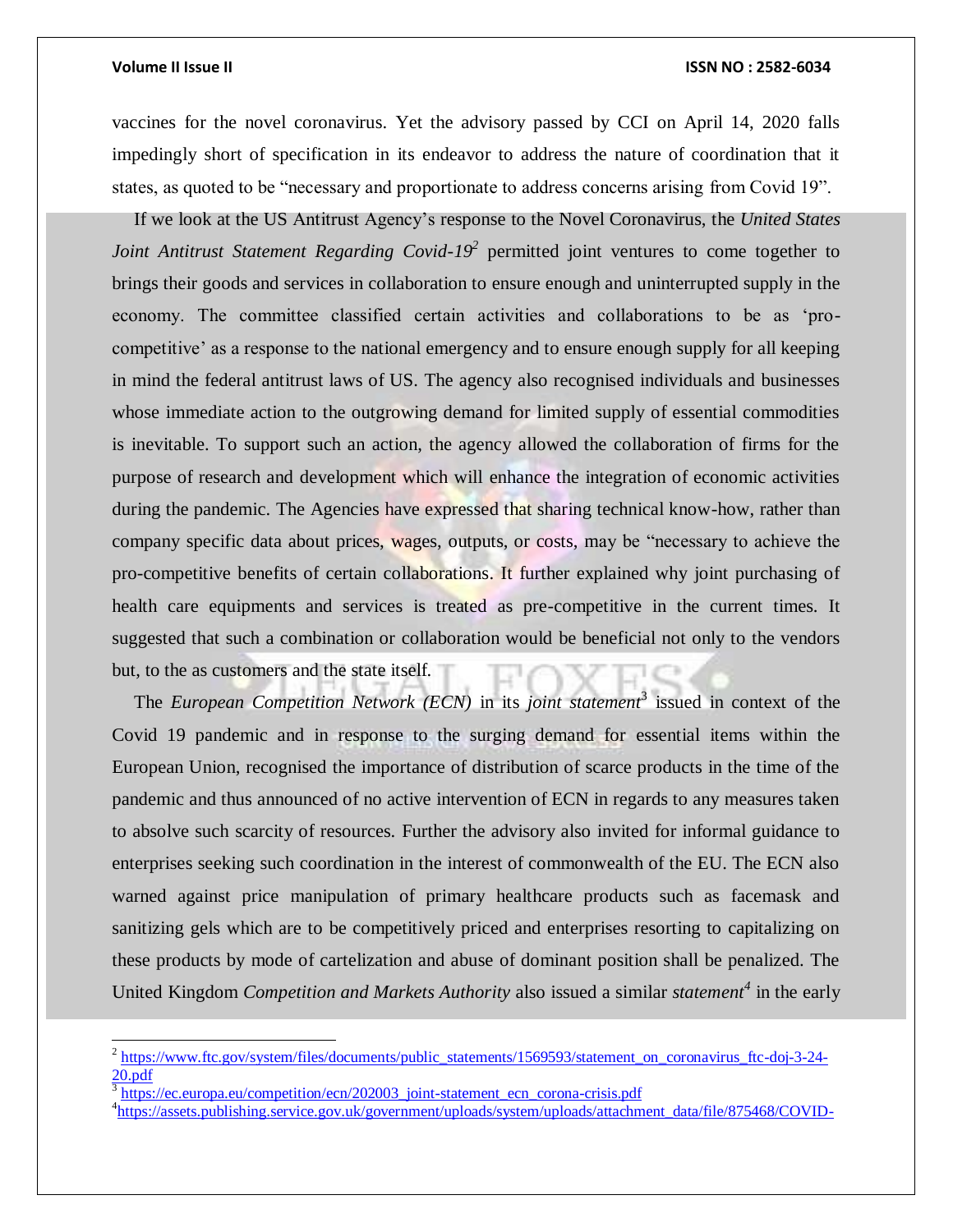l

### **Volume II Issue II ISSN NO : 2582-6034**

vaccines for the novel coronavirus. Yet the advisory passed by CCI on April 14, 2020 falls impedingly short of specification in its endeavor to address the nature of coordination that it states, as quoted to be "necessary and proportionate to address concerns arising from Covid 19".

If we look at the US Antitrust Agency"s response to the Novel Coronavirus, the *United States Joint Antitrust Statement Regarding Covid-19<sup>2</sup>* permitted joint ventures to come together to brings their goods and services in collaboration to ensure enough and uninterrupted supply in the economy. The committee classified certain activities and collaborations to be as "procompetitive" as a response to the national emergency and to ensure enough supply for all keeping in mind the federal antitrust laws of US. The agency also recognised individuals and businesses whose immediate action to the outgrowing demand for limited supply of essential commodities is inevitable. To support such an action, the agency allowed the collaboration of firms for the purpose of research and development which will enhance the integration of economic activities during the pandemic. The Agencies have expressed that sharing technical know-how, rather than company specific data about prices, wages, outputs, or costs, may be "necessary to achieve the pro-competitive benefits of certain collaborations. It further explained why joint purchasing of health care equipments and services is treated as pre-competitive in the current times. It suggested that such a combination or collaboration would be beneficial not only to the vendors but, to the as customers and the state itself.

The *European Competition Network (ECN)* in its *joint statement*<sup>3</sup> issued in context of the Covid 19 pandemic and in response to the surging demand for essential items within the European Union, recognised the importance of distribution of scarce products in the time of the pandemic and thus announced of no active intervention of ECN in regards to any measures taken to absolve such scarcity of resources. Further the advisory also invited for informal guidance to enterprises seeking such coordination in the interest of commonwealth of the EU. The ECN also warned against price manipulation of primary healthcare products such as facemask and sanitizing gels which are to be competitively priced and enterprises resorting to capitalizing on these products by mode of cartelization and abuse of dominant position shall be penalized. The United Kingdom *Competition and Markets Authority* also issued a similar *statement<sup>4</sup>* in the early

<sup>&</sup>lt;sup>2</sup> [https://www.ftc.gov/system/files/documents/public\\_statements/1569593/statement\\_on\\_coronavirus\\_ftc-doj-3-24-](https://www.ftc.gov/system/files/documents/public_statements/1569593/statement_on_coronavirus_ftc-doj-3-24-20.pdf) [20.pdf](https://www.ftc.gov/system/files/documents/public_statements/1569593/statement_on_coronavirus_ftc-doj-3-24-20.pdf)

<sup>3</sup> [https://ec.europa.eu/competition/ecn/202003\\_joint-statement\\_ecn\\_corona-crisis.pdf](https://ec.europa.eu/competition/ecn/202003_joint-statement_ecn_corona-crisis.pdf)

<sup>&</sup>lt;sup>4</sup>[https://assets.publishing.service.gov.uk/government/uploads/system/uploads/attachment\\_data/file/875468/COVID-](https://assets.publishing.service.gov.uk/government/uploads/system/uploads/attachment_data/file/875468/COVID-19_guidance_-.pdf)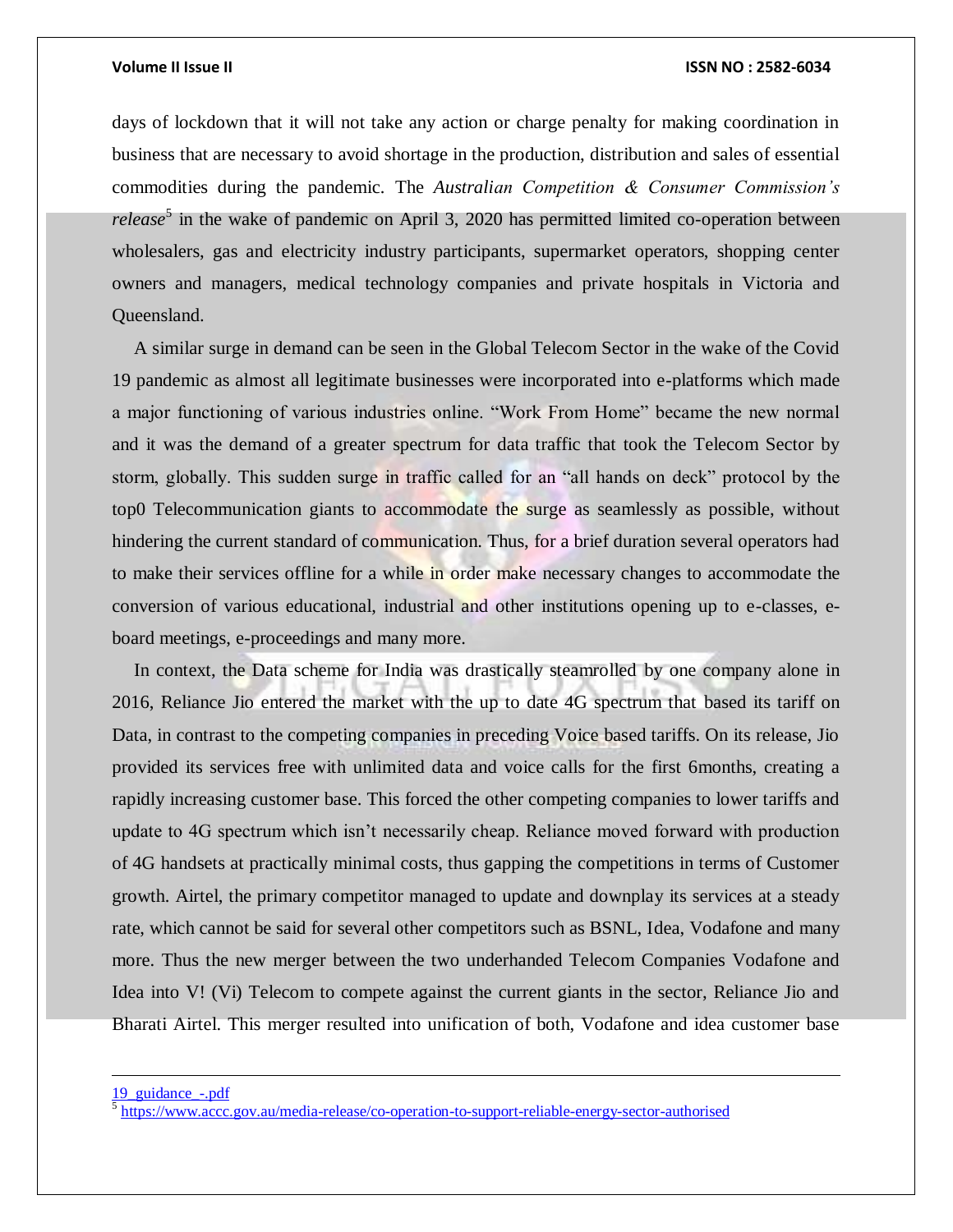### **Volume II Issue II ISSN NO : 2582-6034**

days of lockdown that it will not take any action or charge penalty for making coordination in business that are necessary to avoid shortage in the production, distribution and sales of essential commodities during the pandemic*.* The *Australian Competition & Consumer Commission's release*<sup>5</sup> in the wake of pandemic on April 3, 2020 has permitted limited co-operation between wholesalers, gas and electricity industry participants, supermarket operators, shopping center owners and managers, medical technology companies and private hospitals in Victoria and Queensland.

A similar surge in demand can be seen in the Global Telecom Sector in the wake of the Covid 19 pandemic as almost all legitimate businesses were incorporated into e-platforms which made a major functioning of various industries online. "Work From Home" became the new normal and it was the demand of a greater spectrum for data traffic that took the Telecom Sector by storm, globally. This sudden surge in traffic called for an "all hands on deck" protocol by the top0 Telecommunication giants to accommodate the surge as seamlessly as possible, without hindering the current standard of communication. Thus, for a brief duration several operators had to make their services offline for a while in order make necessary changes to accommodate the conversion of various educational, industrial and other institutions opening up to e-classes, eboard meetings, e-proceedings and many more.

In context, the Data scheme for India was drastically steamrolled by one company alone in 2016, Reliance Jio entered the market with the up to date 4G spectrum that based its tariff on Data, in contrast to the competing companies in preceding Voice based tariffs. On its release, Jio provided its services free with unlimited data and voice calls for the first 6months, creating a rapidly increasing customer base. This forced the other competing companies to lower tariffs and update to 4G spectrum which isn"t necessarily cheap. Reliance moved forward with production of 4G handsets at practically minimal costs, thus gapping the competitions in terms of Customer growth. Airtel, the primary competitor managed to update and downplay its services at a steady rate, which cannot be said for several other competitors such as BSNL, Idea, Vodafone and many more. Thus the new merger between the two underhanded Telecom Companies Vodafone and Idea into V! (Vi) Telecom to compete against the current giants in the sector, Reliance Jio and Bharati Airtel. This merger resulted into unification of both, Vodafone and idea customer base

 $\overline{a}$ 

[<sup>19</sup>\\_guidance\\_-.pdf](https://assets.publishing.service.gov.uk/government/uploads/system/uploads/attachment_data/file/875468/COVID-19_guidance_-.pdf)

<sup>&</sup>lt;sup>5</sup> <https://www.accc.gov.au/media-release/co-operation-to-support-reliable-energy-sector-authorised>